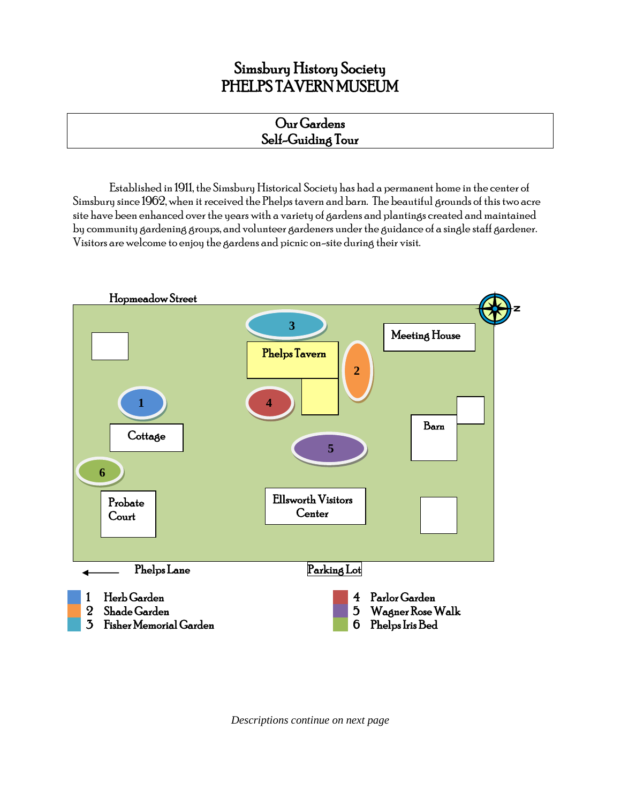# Simsbury History Society PHELPS TAVERN MUSEUM

#### Our Gardens Self-Guiding Tour

Established in 1911, the Simsbury Historical Society has had a permanent home in the center of Simsbury since 1962, when it received the Phelps tavern and barn. The beautiful grounds of this two acre site have been enhanced over the years with a variety of gardens and plantings created and maintained by community gardening groups, and volunteer gardeners under the guidance of a single staff gardener. Visitors are welcome to enjoy the gardens and picnic on-site during their visit.



*Descriptions continue on next page*